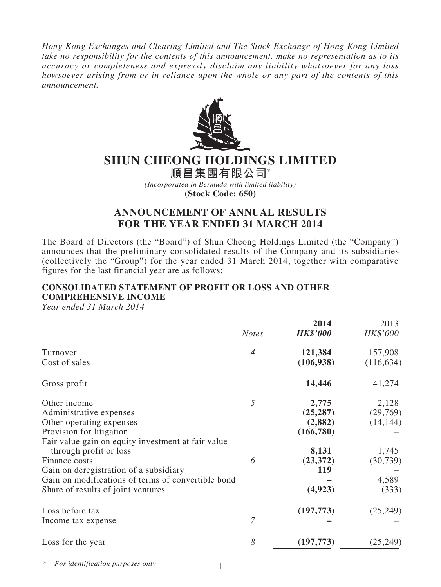*Hong Kong Exchanges and Clearing Limited and The Stock Exchange of Hong Kong Limited take no responsibility for the contents of this announcement, make no representation as to its accuracy or completeness and expressly disclaim any liability whatsoever for any loss howsoever arising from or in reliance upon the whole or any part of the contents of this announcement.*



# **SHUN CHEONG HOLDINGS LIMITED**

**順昌集團有限公司\*** *(Incorporated in Bermuda with limited liability)* **(Stock Code: 650)**

# **ANNOUNCEMENT OF ANNUAL RESULTS FOR THE YEAR ENDED 31 MARCH 2014**

The Board of Directors (the "Board") of Shun Cheong Holdings Limited (the "Company") announces that the preliminary consolidated results of the Company and its subsidiaries (collectively the "Group") for the year ended 31 March 2014, together with comparative figures for the last financial year are as follows:

## **CONSOLIDATED STATEMENT OF PROFIT OR LOSS AND OTHER COMPREHENSIVE INCOME**

*Year ended 31 March 2014*

|                                                    | <b>Notes</b>   | 2014<br><b>HK\$'000</b> | 2013<br>HK\$'000 |
|----------------------------------------------------|----------------|-------------------------|------------------|
| Turnover                                           | $\overline{A}$ | 121,384                 | 157,908          |
| Cost of sales                                      |                | (106, 938)              | (116, 634)       |
| Gross profit                                       |                | 14,446                  | 41,274           |
| Other income                                       | 5              | 2,775                   | 2,128            |
| Administrative expenses                            |                | (25, 287)               | (29,769)         |
| Other operating expenses                           |                | (2,882)                 | (14, 144)        |
| Provision for litigation                           |                | (166,780)               |                  |
| Fair value gain on equity investment at fair value |                |                         |                  |
| through profit or loss                             |                | 8,131                   | 1,745            |
| Finance costs                                      | 6              | (23, 372)               | (30, 739)        |
| Gain on deregistration of a subsidiary             |                | 119                     |                  |
| Gain on modifications of terms of convertible bond |                |                         | 4,589            |
| Share of results of joint ventures                 |                | (4, 923)                | (333)            |
| Loss before tax                                    |                | (197, 773)              | (25, 249)        |
| Income tax expense                                 | $\overline{7}$ |                         |                  |
| Loss for the year                                  | 8              | (197, 773)              | (25, 249)        |

\* *For identification purposes only*

 $-1-$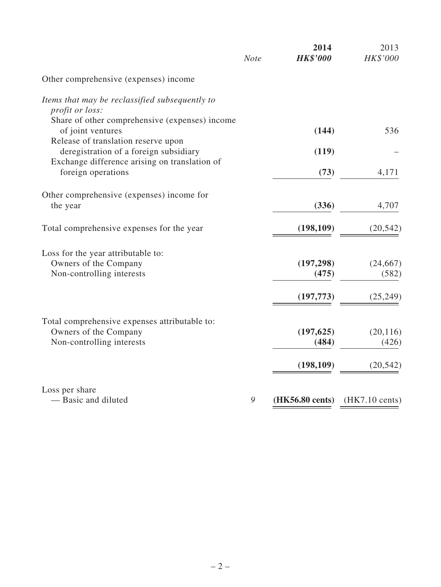|                                                                               | <b>Note</b> | 2014<br><b>HK\$'000</b> | 2013<br>HK\$'000         |
|-------------------------------------------------------------------------------|-------------|-------------------------|--------------------------|
| Other comprehensive (expenses) income                                         |             |                         |                          |
| Items that may be reclassified subsequently to<br><i>profit or loss:</i>      |             |                         |                          |
| Share of other comprehensive (expenses) income<br>of joint ventures           |             | (144)                   | 536                      |
| Release of translation reserve upon<br>deregistration of a foreign subsidiary |             | (119)                   |                          |
| Exchange difference arising on translation of                                 |             |                         |                          |
| foreign operations                                                            |             | (73)                    | 4,171                    |
| Other comprehensive (expenses) income for                                     |             |                         |                          |
| the year                                                                      |             | (336)                   | 4,707                    |
| Total comprehensive expenses for the year                                     |             | (198, 109)              | (20, 542)                |
| Loss for the year attributable to:                                            |             |                         |                          |
| Owners of the Company                                                         |             | (197, 298)              | (24, 667)                |
| Non-controlling interests                                                     |             | (475)                   | (582)                    |
|                                                                               |             | (197, 773)              | (25, 249)                |
| Total comprehensive expenses attributable to:                                 |             |                         |                          |
| Owners of the Company                                                         |             | (197, 625)              | (20, 116)                |
| Non-controlling interests                                                     |             | (484)                   | (426)                    |
|                                                                               |             | (198, 109)              | (20, 542)                |
| Loss per share                                                                |             |                         |                          |
| - Basic and diluted                                                           | 9           | (HK56.80 cents)         | $(HK7.10 \text{ cents})$ |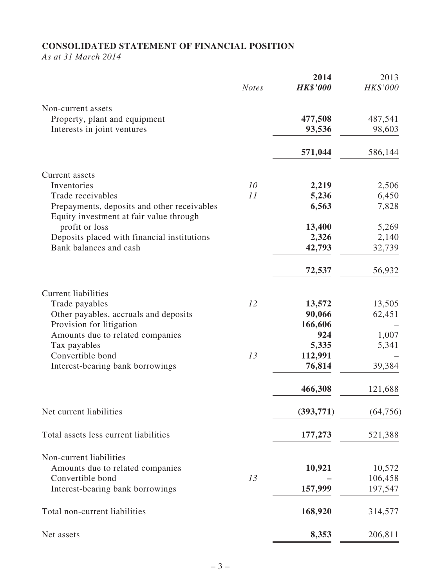# **CONSOLIDATED STATEMENT OF FINANCIAL POSITION**

*As at 31 March 2014*

|                                                                                        | <b>Notes</b> | 2014<br><b>HK\$'000</b> | 2013<br>HK\$'000 |
|----------------------------------------------------------------------------------------|--------------|-------------------------|------------------|
| Non-current assets                                                                     |              |                         |                  |
| Property, plant and equipment                                                          |              | 477,508                 | 487,541          |
| Interests in joint ventures                                                            |              | 93,536                  | 98,603           |
|                                                                                        |              | 571,044                 | 586,144          |
| Current assets                                                                         |              |                         |                  |
| Inventories                                                                            | 10           | 2,219                   | 2,506            |
| Trade receivables                                                                      | 11           | 5,236                   | 6,450            |
| Prepayments, deposits and other receivables<br>Equity investment at fair value through |              | 6,563                   | 7,828            |
| profit or loss                                                                         |              | 13,400                  | 5,269            |
| Deposits placed with financial institutions                                            |              | 2,326                   | 2,140            |
| Bank balances and cash                                                                 |              | 42,793                  | 32,739           |
|                                                                                        |              | 72,537                  | 56,932           |
| <b>Current liabilities</b>                                                             |              |                         |                  |
| Trade payables                                                                         | 12           | 13,572                  | 13,505           |
| Other payables, accruals and deposits                                                  |              | 90,066                  | 62,451           |
| Provision for litigation                                                               |              | 166,606                 |                  |
| Amounts due to related companies                                                       |              | 924                     | 1,007            |
| Tax payables                                                                           |              | 5,335                   | 5,341            |
| Convertible bond<br>Interest-bearing bank borrowings                                   | 13           | 112,991<br>76,814       | 39,384           |
|                                                                                        |              | 466,308                 | 121,688          |
|                                                                                        |              |                         |                  |
| Net current liabilities                                                                |              | (393,771)               | (64, 756)        |
| Total assets less current liabilities                                                  |              | 177,273                 | 521,388          |
| Non-current liabilities                                                                |              |                         |                  |
| Amounts due to related companies                                                       |              | 10,921                  | 10,572           |
| Convertible bond                                                                       | 13           |                         | 106,458          |
| Interest-bearing bank borrowings                                                       |              | 157,999                 | 197,547          |
| Total non-current liabilities                                                          |              | 168,920                 | 314,577          |
| Net assets                                                                             |              | 8,353                   | 206,811          |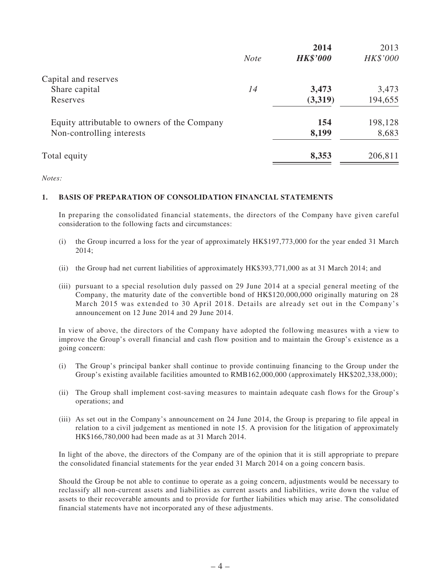|                                              |             | 2014            | 2013     |
|----------------------------------------------|-------------|-----------------|----------|
|                                              | <b>Note</b> | <b>HK\$'000</b> | HK\$'000 |
| Capital and reserves                         |             |                 |          |
| Share capital                                | 14          | 3,473           | 3,473    |
| Reserves                                     |             | (3,319)         | 194,655  |
| Equity attributable to owners of the Company |             | 154             | 198,128  |
| Non-controlling interests                    |             | 8,199           | 8,683    |
| Total equity                                 |             | 8,353           | 206,811  |

*Notes:*

### **1. BASIS OF PREPARATION OF CONSOLIDATION FINANCIAL STATEMENTS**

In preparing the consolidated financial statements, the directors of the Company have given careful consideration to the following facts and circumstances:

- (i) the Group incurred a loss for the year of approximately HK\$197,773,000 for the year ended 31 March 2014;
- (ii) the Group had net current liabilities of approximately HK\$393,771,000 as at 31 March 2014; and
- (iii) pursuant to a special resolution duly passed on 29 June 2014 at a special general meeting of the Company, the maturity date of the convertible bond of HK\$120,000,000 originally maturing on 28 March 2015 was extended to 30 April 2018. Details are already set out in the Company's announcement on 12 June 2014 and 29 June 2014.

In view of above, the directors of the Company have adopted the following measures with a view to improve the Group's overall financial and cash flow position and to maintain the Group's existence as a going concern:

- (i) The Group's principal banker shall continue to provide continuing financing to the Group under the Group's existing available facilities amounted to RMB162,000,000 (approximately HK\$202,338,000);
- (ii) The Group shall implement cost-saving measures to maintain adequate cash flows for the Group's operations; and
- (iii) As set out in the Company's announcement on 24 June 2014, the Group is preparing to file appeal in relation to a civil judgement as mentioned in note 15. A provision for the litigation of approximately HK\$166,780,000 had been made as at 31 March 2014.

In light of the above, the directors of the Company are of the opinion that it is still appropriate to prepare the consolidated financial statements for the year ended 31 March 2014 on a going concern basis.

Should the Group be not able to continue to operate as a going concern, adjustments would be necessary to reclassify all non-current assets and liabilities as current assets and liabilities, write down the value of assets to their recoverable amounts and to provide for further liabilities which may arise. The consolidated financial statements have not incorporated any of these adjustments.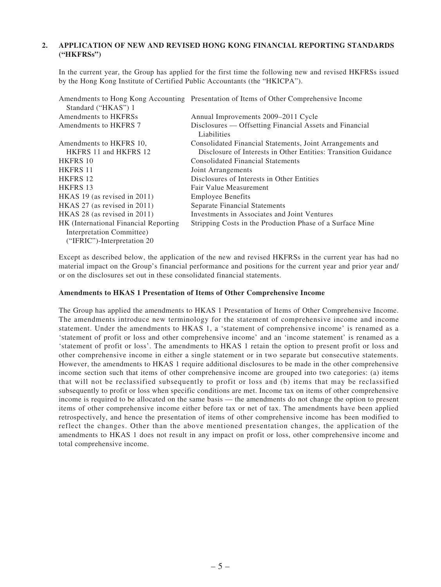### **2. APPLICATION OF NEW AND REVISED HONG KONG FINANCIAL REPORTING STANDARDS ("HKFRSs")**

In the current year, the Group has applied for the first time the following new and revised HKFRSs issued by the Hong Kong Institute of Certified Public Accountants (the "HKICPA").

|                                        | Amendments to Hong Kong Accounting Presentation of Items of Other Comprehensive Income |
|----------------------------------------|----------------------------------------------------------------------------------------|
| Standard ("HKAS") 1                    |                                                                                        |
| Amendments to HKFRSs                   | Annual Improvements 2009–2011 Cycle                                                    |
| Amendments to HKFRS 7                  | Disclosures — Offsetting Financial Assets and Financial<br>Liabilities                 |
| Amendments to HKFRS 10,                | Consolidated Financial Statements, Joint Arrangements and                              |
| HKFRS 11 and HKFRS 12                  | Disclosure of Interests in Other Entities: Transition Guidance                         |
| <b>HKFRS 10</b>                        | <b>Consolidated Financial Statements</b>                                               |
| <b>HKFRS 11</b>                        | Joint Arrangements                                                                     |
| <b>HKFRS 12</b>                        | Disclosures of Interests in Other Entities                                             |
| <b>HKFRS 13</b>                        | Fair Value Measurement                                                                 |
| HKAS 19 (as revised in $2011$ )        | <b>Employee Benefits</b>                                                               |
| HKAS 27 (as revised in $2011$ )        | Separate Financial Statements                                                          |
| HKAS 28 (as revised in 2011)           | Investments in Associates and Joint Ventures                                           |
| HK (International Financial Reporting) | Stripping Costs in the Production Phase of a Surface Mine                              |
| Interpretation Committee)              |                                                                                        |
| ("IFRIC")-Interpretation 20            |                                                                                        |

Except as described below, the application of the new and revised HKFRSs in the current year has had no material impact on the Group's financial performance and positions for the current year and prior year and/ or on the disclosures set out in these consolidated financial statements.

#### **Amendments to HKAS 1 Presentation of Items of Other Comprehensive Income**

The Group has applied the amendments to HKAS 1 Presentation of Items of Other Comprehensive Income. The amendments introduce new terminology for the statement of comprehensive income and income statement. Under the amendments to HKAS 1, a 'statement of comprehensive income' is renamed as a 'statement of profit or loss and other comprehensive income' and an 'income statement' is renamed as a 'statement of profit or loss'. The amendments to HKAS 1 retain the option to present profit or loss and other comprehensive income in either a single statement or in two separate but consecutive statements. However, the amendments to HKAS 1 require additional disclosures to be made in the other comprehensive income section such that items of other comprehensive income are grouped into two categories: (a) items that will not be reclassified subsequently to profit or loss and (b) items that may be reclassified subsequently to profit or loss when specific conditions are met. Income tax on items of other comprehensive income is required to be allocated on the same basis — the amendments do not change the option to present items of other comprehensive income either before tax or net of tax. The amendments have been applied retrospectively, and hence the presentation of items of other comprehensive income has been modified to reflect the changes. Other than the above mentioned presentation changes, the application of the amendments to HKAS 1 does not result in any impact on profit or loss, other comprehensive income and total comprehensive income.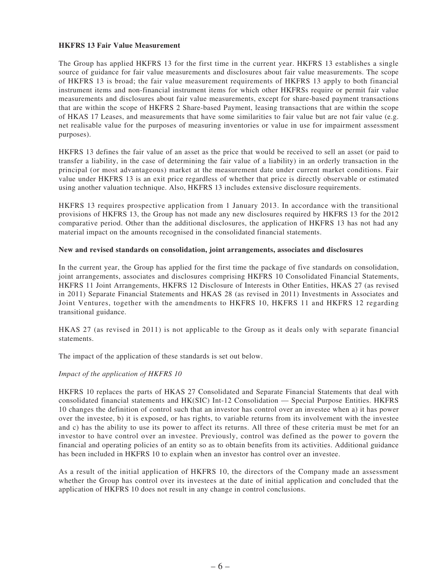#### **HKFRS 13 Fair Value Measurement**

The Group has applied HKFRS 13 for the first time in the current year. HKFRS 13 establishes a single source of guidance for fair value measurements and disclosures about fair value measurements. The scope of HKFRS 13 is broad; the fair value measurement requirements of HKFRS 13 apply to both financial instrument items and non-financial instrument items for which other HKFRSs require or permit fair value measurements and disclosures about fair value measurements, except for share-based payment transactions that are within the scope of HKFRS 2 Share-based Payment, leasing transactions that are within the scope of HKAS 17 Leases, and measurements that have some similarities to fair value but are not fair value (e.g. net realisable value for the purposes of measuring inventories or value in use for impairment assessment purposes).

HKFRS 13 defines the fair value of an asset as the price that would be received to sell an asset (or paid to transfer a liability, in the case of determining the fair value of a liability) in an orderly transaction in the principal (or most advantageous) market at the measurement date under current market conditions. Fair value under HKFRS 13 is an exit price regardless of whether that price is directly observable or estimated using another valuation technique. Also, HKFRS 13 includes extensive disclosure requirements.

HKFRS 13 requires prospective application from 1 January 2013. In accordance with the transitional provisions of HKFRS 13, the Group has not made any new disclosures required by HKFRS 13 for the 2012 comparative period. Other than the additional disclosures, the application of HKFRS 13 has not had any material impact on the amounts recognised in the consolidated financial statements.

#### **New and revised standards on consolidation, joint arrangements, associates and disclosures**

In the current year, the Group has applied for the first time the package of five standards on consolidation, joint arrangements, associates and disclosures comprising HKFRS 10 Consolidated Financial Statements, HKFRS 11 Joint Arrangements, HKFRS 12 Disclosure of Interests in Other Entities, HKAS 27 (as revised in 2011) Separate Financial Statements and HKAS 28 (as revised in 2011) Investments in Associates and Joint Ventures, together with the amendments to HKFRS 10, HKFRS 11 and HKFRS 12 regarding transitional guidance.

HKAS 27 (as revised in 2011) is not applicable to the Group as it deals only with separate financial statements.

The impact of the application of these standards is set out below.

### *Impact of the application of HKFRS 10*

HKFRS 10 replaces the parts of HKAS 27 Consolidated and Separate Financial Statements that deal with consolidated financial statements and HK(SIC) Int-12 Consolidation — Special Purpose Entities. HKFRS 10 changes the definition of control such that an investor has control over an investee when a) it has power over the investee, b) it is exposed, or has rights, to variable returns from its involvement with the investee and c) has the ability to use its power to affect its returns. All three of these criteria must be met for an investor to have control over an investee. Previously, control was defined as the power to govern the financial and operating policies of an entity so as to obtain benefits from its activities. Additional guidance has been included in HKFRS 10 to explain when an investor has control over an investee.

As a result of the initial application of HKFRS 10, the directors of the Company made an assessment whether the Group has control over its investees at the date of initial application and concluded that the application of HKFRS 10 does not result in any change in control conclusions.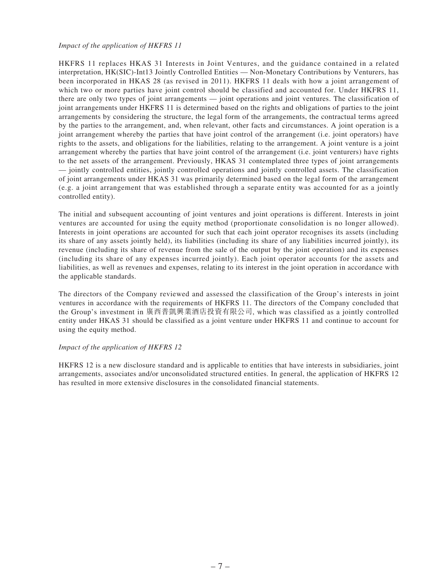#### *Impact of the application of HKFRS 11*

HKFRS 11 replaces HKAS 31 Interests in Joint Ventures, and the guidance contained in a related interpretation, HK(SIC)-Int13 Jointly Controlled Entities — Non-Monetary Contributions by Venturers, has been incorporated in HKAS 28 (as revised in 2011). HKFRS 11 deals with how a joint arrangement of which two or more parties have joint control should be classified and accounted for. Under HKFRS 11, there are only two types of joint arrangements — joint operations and joint ventures. The classification of joint arrangements under HKFRS 11 is determined based on the rights and obligations of parties to the joint arrangements by considering the structure, the legal form of the arrangements, the contractual terms agreed by the parties to the arrangement, and, when relevant, other facts and circumstances. A joint operation is a joint arrangement whereby the parties that have joint control of the arrangement (i.e. joint operators) have rights to the assets, and obligations for the liabilities, relating to the arrangement. A joint venture is a joint arrangement whereby the parties that have joint control of the arrangement (i.e. joint venturers) have rights to the net assets of the arrangement. Previously, HKAS 31 contemplated three types of joint arrangements — jointly controlled entities, jointly controlled operations and jointly controlled assets. The classification of joint arrangements under HKAS 31 was primarily determined based on the legal form of the arrangement (e.g. a joint arrangement that was established through a separate entity was accounted for as a jointly controlled entity).

The initial and subsequent accounting of joint ventures and joint operations is different. Interests in joint ventures are accounted for using the equity method (proportionate consolidation is no longer allowed). Interests in joint operations are accounted for such that each joint operator recognises its assets (including its share of any assets jointly held), its liabilities (including its share of any liabilities incurred jointly), its revenue (including its share of revenue from the sale of the output by the joint operation) and its expenses (including its share of any expenses incurred jointly). Each joint operator accounts for the assets and liabilities, as well as revenues and expenses, relating to its interest in the joint operation in accordance with the applicable standards.

The directors of the Company reviewed and assessed the classification of the Group's interests in joint ventures in accordance with the requirements of HKFRS 11. The directors of the Company concluded that the Group's investment in 廣西普凱興業酒店投資有限公司, which was classified as a jointly controlled entity under HKAS 31 should be classified as a joint venture under HKFRS 11 and continue to account for using the equity method.

### *Impact of the application of HKFRS 12*

HKFRS 12 is a new disclosure standard and is applicable to entities that have interests in subsidiaries, joint arrangements, associates and/or unconsolidated structured entities. In general, the application of HKFRS 12 has resulted in more extensive disclosures in the consolidated financial statements.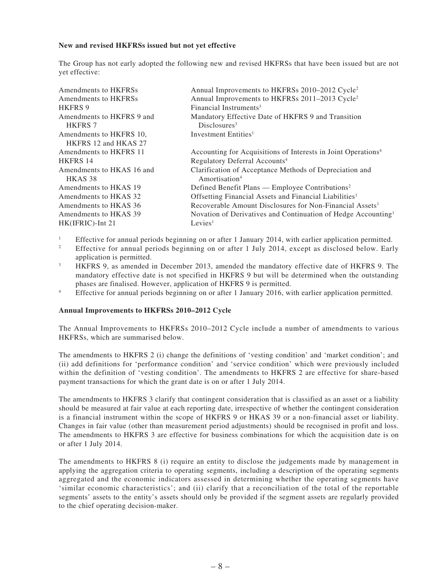#### **New and revised HKFRSs issued but not yet effective**

The Group has not early adopted the following new and revised HKFRSs that have been issued but are not yet effective:

| Amendments to HKFRSs      | Annual Improvements to HKFRSs 2010–2012 Cycle <sup>2</sup>                |
|---------------------------|---------------------------------------------------------------------------|
| Amendments to HKFRSs      | Annual Improvements to HKFRSs 2011-2013 Cycle <sup>2</sup>                |
| <b>HKFRS 9</b>            | Financial Instruments <sup>3</sup>                                        |
| Amendments to HKFRS 9 and | Mandatory Effective Date of HKFRS 9 and Transition                        |
| <b>HKFRS 7</b>            | Disclosures <sup>3</sup>                                                  |
| Amendments to HKFRS 10,   | Investment Entities <sup>1</sup>                                          |
| HKFRS 12 and HKAS 27      |                                                                           |
| Amendments to HKFRS 11    | Accounting for Acquisitions of Interests in Joint Operations <sup>4</sup> |
| <b>HKFRS 14</b>           | Regulatory Deferral Accounts <sup>4</sup>                                 |
| Amendments to HKAS 16 and | Clarification of Acceptance Methods of Depreciation and                   |
| HKAS 38                   | Amortisation <sup>4</sup>                                                 |
| Amendments to HKAS 19     | Defined Benefit Plans — Employee Contributions <sup>2</sup>               |
| Amendments to HKAS 32     | Offsetting Financial Assets and Financial Liabilities <sup>1</sup>        |
| Amendments to HKAS 36     | Recoverable Amount Disclosures for Non-Financial Assets <sup>1</sup>      |
| Amendments to HKAS 39     | Novation of Derivatives and Continuation of Hedge Accounting <sup>1</sup> |
| HK(IFRIC)-Int 21          | Levies <sup>1</sup>                                                       |

<sup>1</sup> Effective for annual periods beginning on or after 1 January 2014, with earlier application permitted.

<sup>2</sup> Effective for annual periods beginning on or after 1 July 2014, except as disclosed below. Early application is permitted.

<sup>3</sup> HKFRS 9, as amended in December 2013, amended the mandatory effective date of HKFRS 9. The mandatory effective date is not specified in HKFRS 9 but will be determined when the outstanding phases are finalised. However, application of HKFRS 9 is permitted.

<sup>4</sup> Effective for annual periods beginning on or after 1 January 2016, with earlier application permitted.

### **Annual Improvements to HKFRSs 2010–2012 Cycle**

The Annual Improvements to HKFRSs 2010–2012 Cycle include a number of amendments to various HKFRSs, which are summarised below.

The amendments to HKFRS 2 (i) change the definitions of 'vesting condition' and 'market condition'; and (ii) add definitions for 'performance condition' and 'service condition' which were previously included within the definition of 'vesting condition'. The amendments to HKFRS 2 are effective for share-based payment transactions for which the grant date is on or after 1 July 2014.

The amendments to HKFRS 3 clarify that contingent consideration that is classified as an asset or a liability should be measured at fair value at each reporting date, irrespective of whether the contingent consideration is a financial instrument within the scope of HKFRS 9 or HKAS 39 or a non-financial asset or liability. Changes in fair value (other than measurement period adjustments) should be recognised in profit and loss. The amendments to HKFRS 3 are effective for business combinations for which the acquisition date is on or after 1 July 2014.

The amendments to HKFRS 8 (i) require an entity to disclose the judgements made by management in applying the aggregation criteria to operating segments, including a description of the operating segments aggregated and the economic indicators assessed in determining whether the operating segments have 'similar economic characteristics'; and (ii) clarify that a reconciliation of the total of the reportable segments' assets to the entity's assets should only be provided if the segment assets are regularly provided to the chief operating decision-maker.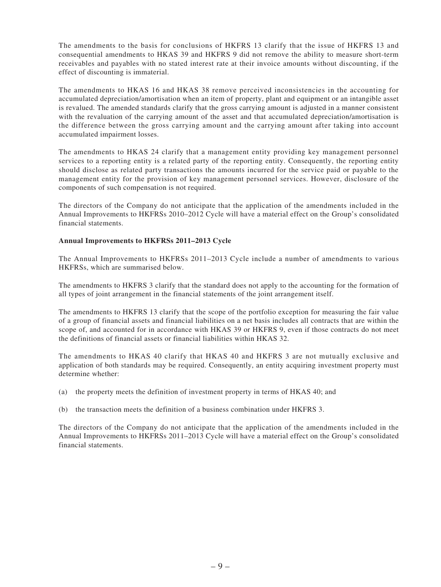The amendments to the basis for conclusions of HKFRS 13 clarify that the issue of HKFRS 13 and consequential amendments to HKAS 39 and HKFRS 9 did not remove the ability to measure short-term receivables and payables with no stated interest rate at their invoice amounts without discounting, if the effect of discounting is immaterial.

The amendments to HKAS 16 and HKAS 38 remove perceived inconsistencies in the accounting for accumulated depreciation/amortisation when an item of property, plant and equipment or an intangible asset is revalued. The amended standards clarify that the gross carrying amount is adjusted in a manner consistent with the revaluation of the carrying amount of the asset and that accumulated depreciation/amortisation is the difference between the gross carrying amount and the carrying amount after taking into account accumulated impairment losses.

The amendments to HKAS 24 clarify that a management entity providing key management personnel services to a reporting entity is a related party of the reporting entity. Consequently, the reporting entity should disclose as related party transactions the amounts incurred for the service paid or payable to the management entity for the provision of key management personnel services. However, disclosure of the components of such compensation is not required.

The directors of the Company do not anticipate that the application of the amendments included in the Annual Improvements to HKFRSs 2010–2012 Cycle will have a material effect on the Group's consolidated financial statements.

## **Annual Improvements to HKFRSs 2011–2013 Cycle**

The Annual Improvements to HKFRSs 2011–2013 Cycle include a number of amendments to various HKFRSs, which are summarised below.

The amendments to HKFRS 3 clarify that the standard does not apply to the accounting for the formation of all types of joint arrangement in the financial statements of the joint arrangement itself.

The amendments to HKFRS 13 clarify that the scope of the portfolio exception for measuring the fair value of a group of financial assets and financial liabilities on a net basis includes all contracts that are within the scope of, and accounted for in accordance with HKAS 39 or HKFRS 9, even if those contracts do not meet the definitions of financial assets or financial liabilities within HKAS 32.

The amendments to HKAS 40 clarify that HKAS 40 and HKFRS 3 are not mutually exclusive and application of both standards may be required. Consequently, an entity acquiring investment property must determine whether:

- (a) the property meets the definition of investment property in terms of HKAS 40; and
- (b) the transaction meets the definition of a business combination under HKFRS 3.

The directors of the Company do not anticipate that the application of the amendments included in the Annual Improvements to HKFRSs 2011–2013 Cycle will have a material effect on the Group's consolidated financial statements.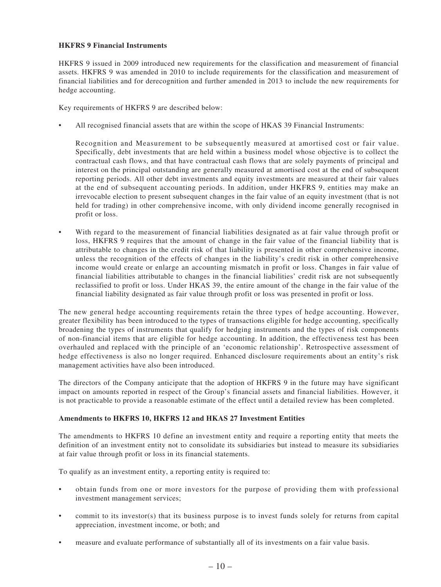### **HKFRS 9 Financial Instruments**

HKFRS 9 issued in 2009 introduced new requirements for the classification and measurement of financial assets. HKFRS 9 was amended in 2010 to include requirements for the classification and measurement of financial liabilities and for derecognition and further amended in 2013 to include the new requirements for hedge accounting.

Key requirements of HKFRS 9 are described below:

All recognised financial assets that are within the scope of HKAS 39 Financial Instruments:

Recognition and Measurement to be subsequently measured at amortised cost or fair value. Specifically, debt investments that are held within a business model whose objective is to collect the contractual cash flows, and that have contractual cash flows that are solely payments of principal and interest on the principal outstanding are generally measured at amortised cost at the end of subsequent reporting periods. All other debt investments and equity investments are measured at their fair values at the end of subsequent accounting periods. In addition, under HKFRS 9, entities may make an irrevocable election to present subsequent changes in the fair value of an equity investment (that is not held for trading) in other comprehensive income, with only dividend income generally recognised in profit or loss.

• With regard to the measurement of financial liabilities designated as at fair value through profit or loss, HKFRS 9 requires that the amount of change in the fair value of the financial liability that is attributable to changes in the credit risk of that liability is presented in other comprehensive income, unless the recognition of the effects of changes in the liability's credit risk in other comprehensive income would create or enlarge an accounting mismatch in profit or loss. Changes in fair value of financial liabilities attributable to changes in the financial liabilities' credit risk are not subsequently reclassified to profit or loss. Under HKAS 39, the entire amount of the change in the fair value of the financial liability designated as fair value through profit or loss was presented in profit or loss.

The new general hedge accounting requirements retain the three types of hedge accounting. However, greater flexibility has been introduced to the types of transactions eligible for hedge accounting, specifically broadening the types of instruments that qualify for hedging instruments and the types of risk components of non-financial items that are eligible for hedge accounting. In addition, the effectiveness test has been overhauled and replaced with the principle of an 'economic relationship'. Retrospective assessment of hedge effectiveness is also no longer required. Enhanced disclosure requirements about an entity's risk management activities have also been introduced.

The directors of the Company anticipate that the adoption of HKFRS 9 in the future may have significant impact on amounts reported in respect of the Group's financial assets and financial liabilities. However, it is not practicable to provide a reasonable estimate of the effect until a detailed review has been completed.

### **Amendments to HKFRS 10, HKFRS 12 and HKAS 27 Investment Entities**

The amendments to HKFRS 10 define an investment entity and require a reporting entity that meets the definition of an investment entity not to consolidate its subsidiaries but instead to measure its subsidiaries at fair value through profit or loss in its financial statements.

To qualify as an investment entity, a reporting entity is required to:

- obtain funds from one or more investors for the purpose of providing them with professional investment management services;
- commit to its investor(s) that its business purpose is to invest funds solely for returns from capital appreciation, investment income, or both; and
- measure and evaluate performance of substantially all of its investments on a fair value basis.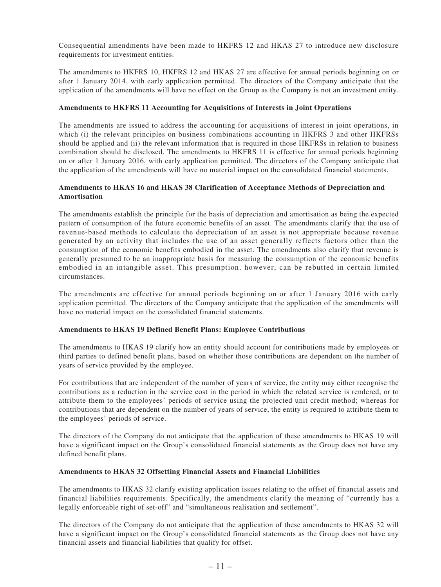Consequential amendments have been made to HKFRS 12 and HKAS 27 to introduce new disclosure requirements for investment entities.

The amendments to HKFRS 10, HKFRS 12 and HKAS 27 are effective for annual periods beginning on or after 1 January 2014, with early application permitted. The directors of the Company anticipate that the application of the amendments will have no effect on the Group as the Company is not an investment entity.

### **Amendments to HKFRS 11 Accounting for Acquisitions of Interests in Joint Operations**

The amendments are issued to address the accounting for acquisitions of interest in joint operations, in which (i) the relevant principles on business combinations accounting in HKFRS 3 and other HKFRSs should be applied and (ii) the relevant information that is required in those HKFRSs in relation to business combination should be disclosed. The amendments to HKFRS 11 is effective for annual periods beginning on or after 1 January 2016, with early application permitted. The directors of the Company anticipate that the application of the amendments will have no material impact on the consolidated financial statements.

### **Amendments to HKAS 16 and HKAS 38 Clarification of Acceptance Methods of Depreciation and Amortisation**

The amendments establish the principle for the basis of depreciation and amortisation as being the expected pattern of consumption of the future economic benefits of an asset. The amendments clarify that the use of revenue-based methods to calculate the depreciation of an asset is not appropriate because revenue generated by an activity that includes the use of an asset generally reflects factors other than the consumption of the economic benefits embodied in the asset. The amendments also clarify that revenue is generally presumed to be an inappropriate basis for measuring the consumption of the economic benefits embodied in an intangible asset. This presumption, however, can be rebutted in certain limited circumstances.

The amendments are effective for annual periods beginning on or after 1 January 2016 with early application permitted. The directors of the Company anticipate that the application of the amendments will have no material impact on the consolidated financial statements.

### **Amendments to HKAS 19 Defined Benefit Plans: Employee Contributions**

The amendments to HKAS 19 clarify how an entity should account for contributions made by employees or third parties to defined benefit plans, based on whether those contributions are dependent on the number of years of service provided by the employee.

For contributions that are independent of the number of years of service, the entity may either recognise the contributions as a reduction in the service cost in the period in which the related service is rendered, or to attribute them to the employees' periods of service using the projected unit credit method; whereas for contributions that are dependent on the number of years of service, the entity is required to attribute them to the employees' periods of service.

The directors of the Company do not anticipate that the application of these amendments to HKAS 19 will have a significant impact on the Group's consolidated financial statements as the Group does not have any defined benefit plans.

#### **Amendments to HKAS 32 Offsetting Financial Assets and Financial Liabilities**

The amendments to HKAS 32 clarify existing application issues relating to the offset of financial assets and financial liabilities requirements. Specifically, the amendments clarify the meaning of "currently has a legally enforceable right of set-off" and "simultaneous realisation and settlement".

The directors of the Company do not anticipate that the application of these amendments to HKAS 32 will have a significant impact on the Group's consolidated financial statements as the Group does not have any financial assets and financial liabilities that qualify for offset.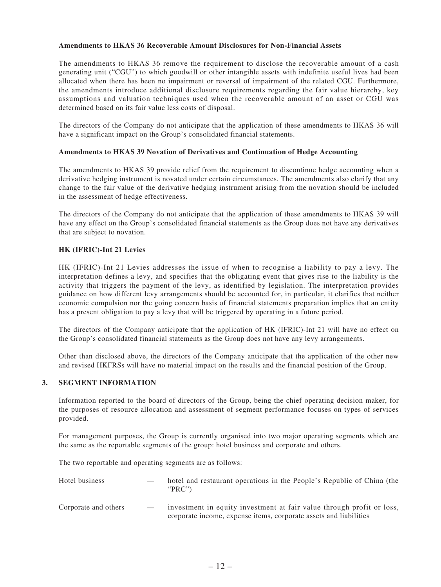#### **Amendments to HKAS 36 Recoverable Amount Disclosures for Non-Financial Assets**

The amendments to HKAS 36 remove the requirement to disclose the recoverable amount of a cash generating unit ("CGU") to which goodwill or other intangible assets with indefinite useful lives had been allocated when there has been no impairment or reversal of impairment of the related CGU. Furthermore, the amendments introduce additional disclosure requirements regarding the fair value hierarchy, key assumptions and valuation techniques used when the recoverable amount of an asset or CGU was determined based on its fair value less costs of disposal.

The directors of the Company do not anticipate that the application of these amendments to HKAS 36 will have a significant impact on the Group's consolidated financial statements.

### **Amendments to HKAS 39 Novation of Derivatives and Continuation of Hedge Accounting**

The amendments to HKAS 39 provide relief from the requirement to discontinue hedge accounting when a derivative hedging instrument is novated under certain circumstances. The amendments also clarify that any change to the fair value of the derivative hedging instrument arising from the novation should be included in the assessment of hedge effectiveness.

The directors of the Company do not anticipate that the application of these amendments to HKAS 39 will have any effect on the Group's consolidated financial statements as the Group does not have any derivatives that are subject to novation.

### **HK (IFRIC)-Int 21 Levies**

HK (IFRIC)-Int 21 Levies addresses the issue of when to recognise a liability to pay a levy. The interpretation defines a levy, and specifies that the obligating event that gives rise to the liability is the activity that triggers the payment of the levy, as identified by legislation. The interpretation provides guidance on how different levy arrangements should be accounted for, in particular, it clarifies that neither economic compulsion nor the going concern basis of financial statements preparation implies that an entity has a present obligation to pay a levy that will be triggered by operating in a future period.

The directors of the Company anticipate that the application of HK (IFRIC)-Int 21 will have no effect on the Group's consolidated financial statements as the Group does not have any levy arrangements.

Other than disclosed above, the directors of the Company anticipate that the application of the other new and revised HKFRSs will have no material impact on the results and the financial position of the Group.

### **3. SEGMENT INFORMATION**

Information reported to the board of directors of the Group, being the chief operating decision maker, for the purposes of resource allocation and assessment of segment performance focuses on types of services provided.

For management purposes, the Group is currently organised into two major operating segments which are the same as the reportable segments of the group: hotel business and corporate and others.

The two reportable and operating segments are as follows:

| Hotel business       |                          | hotel and restaurant operations in the People's Republic of China (the<br>" $PRC$ "                                                        |
|----------------------|--------------------------|--------------------------------------------------------------------------------------------------------------------------------------------|
| Corporate and others | $\overline{\phantom{a}}$ | investment in equity investment at fair value through profit or loss,<br>corporate income, expense items, corporate assets and liabilities |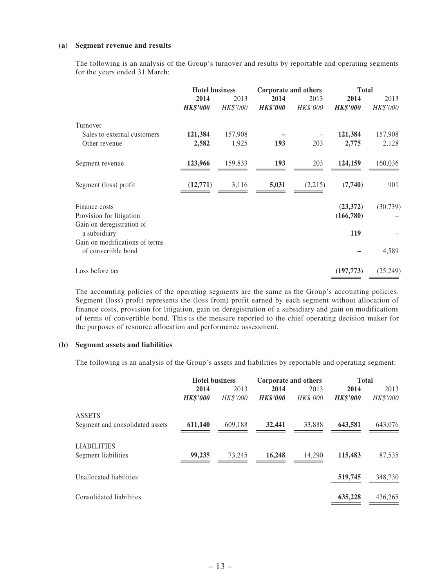#### **(a) Segment revenue and results**

The following is an analysis of the Group's turnover and results by reportable and operating segments for the years ended 31 March:

|                                           | <b>Hotel business</b>   |                         |                         | Corporate and others |                         | <b>Total</b>     |  |
|-------------------------------------------|-------------------------|-------------------------|-------------------------|----------------------|-------------------------|------------------|--|
|                                           | 2014<br><b>HK\$'000</b> | 2013<br><b>HK\$'000</b> | 2014<br><b>HK\$'000</b> | 2013<br>HK\$'000     | 2014<br><b>HK\$'000</b> | 2013<br>HK\$'000 |  |
| Turnover                                  |                         |                         |                         |                      |                         |                  |  |
| Sales to external customers               | 121,384                 | 157,908                 |                         |                      | 121,384                 | 157,908          |  |
| Other revenue                             | 2,582                   | 1,925                   | 193                     | 203                  | 2,775                   | 2,128            |  |
| Segment revenue                           | 123,966                 | 159,833                 | 193                     | 203                  | 124,159                 | 160,036          |  |
| Segment (loss) profit                     | (12,771)                | 3,116                   | 5,031                   | (2,215)              | (7,740)                 | 901              |  |
| Finance costs                             |                         |                         |                         |                      | (23, 372)               | (30, 739)        |  |
| Provision for litigation                  |                         |                         |                         |                      | (166, 780)              |                  |  |
| Gain on deregistration of<br>a subsidiary |                         |                         |                         |                      | 119                     |                  |  |
| Gain on modifications of terms            |                         |                         |                         |                      |                         |                  |  |
| of convertible bond                       |                         |                         |                         |                      |                         | 4,589            |  |
| Loss before tax                           |                         |                         |                         |                      | (197, 773)              | (25, 249)        |  |

The accounting policies of the operating segments are the same as the Group's accounting policies. Segment (loss) profit represents the (loss from) profit earned by each segment without allocation of finance costs, provision for litigation, gain on deregistration of a subsidiary and gain on modifications of terms of convertible bond. This is the measure reported to the chief operating decision maker for the purposes of resource allocation and performance assessment.

#### **(b) Segment assets and liabilities**

The following is an analysis of the Group's assets and liabilities by reportable and operating segment:

|                                 | <b>Hotel business</b> |                 | Corporate and others |          | <b>Total</b>    |          |
|---------------------------------|-----------------------|-----------------|----------------------|----------|-----------------|----------|
|                                 | 2014                  | 2013            | 2014                 | 2013     | 2014            | 2013     |
|                                 | <b>HK\$'000</b>       | <b>HK\$'000</b> | <b>HK\$'000</b>      | HK\$'000 | <b>HK\$'000</b> | HK\$'000 |
| <b>ASSETS</b>                   |                       |                 |                      |          |                 |          |
| Segment and consolidated assets | 611,140               | 609,188         | 32,441               | 33,888   | 643,581         | 643,076  |
|                                 |                       |                 |                      |          |                 |          |
| <b>LIABILITIES</b>              |                       |                 |                      |          |                 |          |
| Segment liabilities             | 99,235                | 73.245          | 16,248               | 14.290   | 115,483         | 87,535   |
| Unallocated liabilities         |                       |                 |                      |          | 519,745         | 348,730  |
|                                 |                       |                 |                      |          |                 |          |
| Consolidated liabilities        |                       |                 |                      |          | 635,228         | 436,265  |
|                                 |                       |                 |                      |          |                 |          |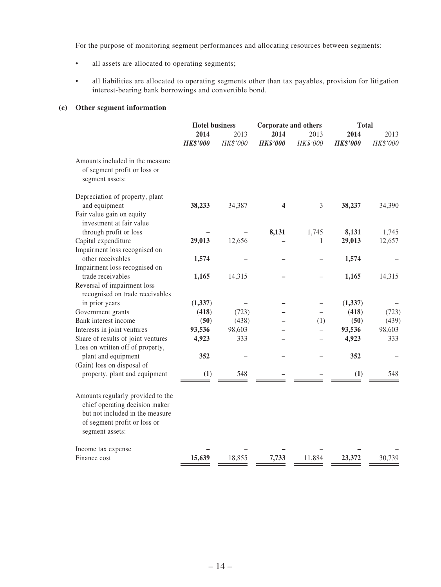For the purpose of monitoring segment performances and allocating resources between segments:

- all assets are allocated to operating segments;
- • all liabilities are allocated to operating segments other than tax payables, provision for litigation interest-bearing bank borrowings and convertible bond.

### **(c) Other segment information**

|                                                                                                                                                           | <b>Hotel business</b>   | <b>Corporate and others</b> |                         | <b>Total</b>     |                         |                  |
|-----------------------------------------------------------------------------------------------------------------------------------------------------------|-------------------------|-----------------------------|-------------------------|------------------|-------------------------|------------------|
|                                                                                                                                                           | 2014<br><b>HK\$'000</b> | 2013<br>HK\$'000            | 2014<br><b>HK\$'000</b> | 2013<br>HK\$'000 | 2014<br><b>HK\$'000</b> | 2013<br>HK\$'000 |
| Amounts included in the measure<br>of segment profit or loss or<br>segment assets:                                                                        |                         |                             |                         |                  |                         |                  |
| Depreciation of property, plant                                                                                                                           |                         |                             |                         |                  |                         |                  |
| and equipment                                                                                                                                             | 38,233                  | 34,387                      | 4                       | 3                | 38,237                  | 34,390           |
| Fair value gain on equity<br>investment at fair value                                                                                                     |                         |                             |                         |                  |                         |                  |
| through profit or loss                                                                                                                                    |                         |                             | 8,131                   | 1,745            | 8,131                   | 1,745            |
| Capital expenditure                                                                                                                                       | 29,013                  | 12,656                      |                         | 1                | 29,013                  | 12,657           |
| Impairment loss recognised on                                                                                                                             |                         |                             |                         |                  |                         |                  |
| other receivables                                                                                                                                         | 1,574                   |                             |                         |                  | 1,574                   |                  |
| Impairment loss recognised on                                                                                                                             |                         |                             |                         |                  |                         |                  |
| trade receivables                                                                                                                                         | 1,165                   | 14,315                      |                         |                  | 1,165                   | 14,315           |
| Reversal of impairment loss<br>recognised on trade receivables                                                                                            |                         |                             |                         |                  |                         |                  |
| in prior years                                                                                                                                            | (1, 337)                |                             |                         |                  | (1, 337)                |                  |
| Government grants                                                                                                                                         | (418)                   | (723)                       |                         |                  | (418)                   | (723)            |
| Bank interest income                                                                                                                                      | (50)                    | (438)                       |                         | (1)              | (50)                    | (439)            |
| Interests in joint ventures                                                                                                                               | 93,536                  | 98,603                      |                         |                  | 93,536                  | 98,603           |
| Share of results of joint ventures                                                                                                                        | 4,923                   | 333                         |                         |                  | 4,923                   | 333              |
| Loss on written off of property,                                                                                                                          |                         |                             |                         |                  |                         |                  |
| plant and equipment                                                                                                                                       | 352                     |                             |                         |                  | 352                     |                  |
| (Gain) loss on disposal of                                                                                                                                |                         |                             |                         |                  |                         |                  |
| property, plant and equipment                                                                                                                             | (1)                     | 548                         |                         |                  | (1)                     | 548              |
| Amounts regularly provided to the<br>chief operating decision maker<br>but not included in the measure<br>of segment profit or loss or<br>segment assets: |                         |                             |                         |                  |                         |                  |
| Income tax expense                                                                                                                                        |                         |                             |                         |                  |                         |                  |
| Finance cost                                                                                                                                              | 15,639                  | 18,855                      | 7,733                   | 11,884           | 23,372                  | 30,739           |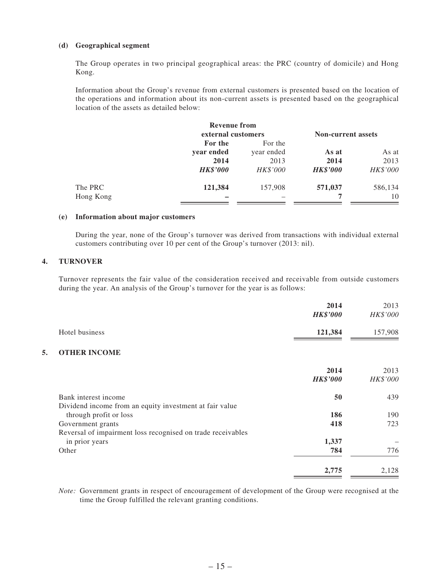### **(d) Geographical segment**

The Group operates in two principal geographical areas: the PRC (country of domicile) and Hong Kong.

Information about the Group's revenue from external customers is presented based on the location of the operations and information about its non-current assets is presented based on the geographical location of the assets as detailed below:

|           | <b>Revenue from</b> |            |                           |          |
|-----------|---------------------|------------|---------------------------|----------|
|           | external customers  |            | <b>Non-current assets</b> |          |
|           | For the             | For the    |                           |          |
|           | year ended          | year ended | As at                     | As at    |
|           | 2014                | 2013       | 2014                      | 2013     |
|           | <b>HK\$'000</b>     | HK\$'000   | <b>HK\$'000</b>           | HK\$'000 |
| The PRC   | 121,384             | 157,908    | 571,037                   | 586,134  |
| Hong Kong |                     |            |                           | 10       |

### **(e) Information about major customers**

During the year, none of the Group's turnover was derived from transactions with individual external customers contributing over 10 per cent of the Group's turnover (2013: nil).

## **4. TURNOVER**

Turnover represents the fair value of the consideration received and receivable from outside customers during the year. An analysis of the Group's turnover for the year is as follows:

|    |                                                             | 2014<br><b>HK\$'000</b> | 2013<br>HK\$'000 |
|----|-------------------------------------------------------------|-------------------------|------------------|
|    | Hotel business                                              | 121,384                 | 157,908          |
| 5. | <b>OTHER INCOME</b>                                         |                         |                  |
|    |                                                             | 2014                    | 2013             |
|    |                                                             | <b>HK\$'000</b>         | HK\$'000         |
|    | Bank interest income                                        | 50                      | 439              |
|    | Dividend income from an equity investment at fair value     |                         |                  |
|    | through profit or loss                                      | 186                     | 190              |
|    | Government grants                                           | 418                     | 723              |
|    | Reversal of impairment loss recognised on trade receivables |                         |                  |
|    | in prior years                                              | 1,337                   |                  |
|    | Other                                                       | 784                     | 776              |
|    |                                                             | 2,775                   | 2,128            |

*Note:* Government grants in respect of encouragement of development of the Group were recognised at the time the Group fulfilled the relevant granting conditions.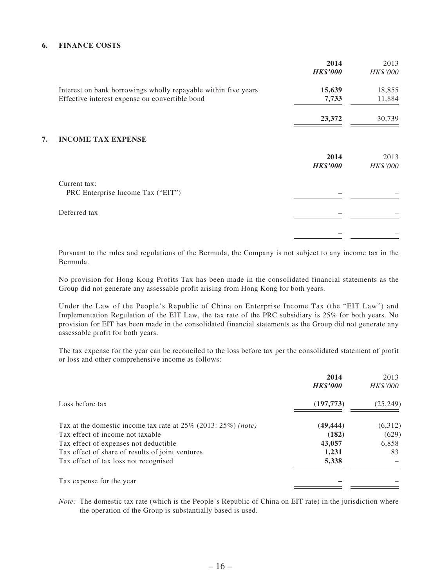## **6. FINANCE COSTS**

|    |                                                                | 2014<br><b>HK\$'000</b> | 2013<br>HK\$'000 |
|----|----------------------------------------------------------------|-------------------------|------------------|
|    | Interest on bank borrowings wholly repayable within five years | 15,639                  | 18,855           |
|    | Effective interest expense on convertible bond                 | 7,733                   | 11,884           |
|    |                                                                | 23,372                  | 30,739           |
| 7. | <b>INCOME TAX EXPENSE</b>                                      |                         |                  |
|    |                                                                | 2014                    | 2013             |
|    |                                                                | <b>HK\$'000</b>         | HK\$'000         |
|    | Current tax:                                                   |                         |                  |
|    | PRC Enterprise Income Tax ("EIT")                              |                         |                  |
|    | Deferred tax                                                   |                         |                  |
|    |                                                                |                         |                  |
|    |                                                                |                         |                  |

Pursuant to the rules and regulations of the Bermuda, the Company is not subject to any income tax in the Bermuda.

No provision for Hong Kong Profits Tax has been made in the consolidated financial statements as the Group did not generate any assessable profit arising from Hong Kong for both years.

Under the Law of the People's Republic of China on Enterprise Income Tax (the "EIT Law") and Implementation Regulation of the EIT Law, the tax rate of the PRC subsidiary is 25% for both years. No provision for EIT has been made in the consolidated financial statements as the Group did not generate any assessable profit for both years.

The tax expense for the year can be reconciled to the loss before tax per the consolidated statement of profit or loss and other comprehensive income as follows:

|                                                                      | 2014<br><b>HK\$'000</b> | 2013<br>HK\$'000 |
|----------------------------------------------------------------------|-------------------------|------------------|
| Loss before tax                                                      | (197, 773)              | (25, 249)        |
| Tax at the domestic income tax rate at $25\%$ (2013: $25\%$ ) (note) | (49, 444)               | (6,312)          |
| Tax effect of income not taxable                                     | (182)                   | (629)            |
| Tax effect of expenses not deductible                                | 43,057                  | 6,858            |
| Tax effect of share of results of joint ventures                     | 1,231                   | 83               |
| Tax effect of tax loss not recognised                                | 5,338                   |                  |
| Tax expense for the year                                             |                         |                  |

*Note:* The domestic tax rate (which is the People's Republic of China on EIT rate) in the jurisdiction where the operation of the Group is substantially based is used.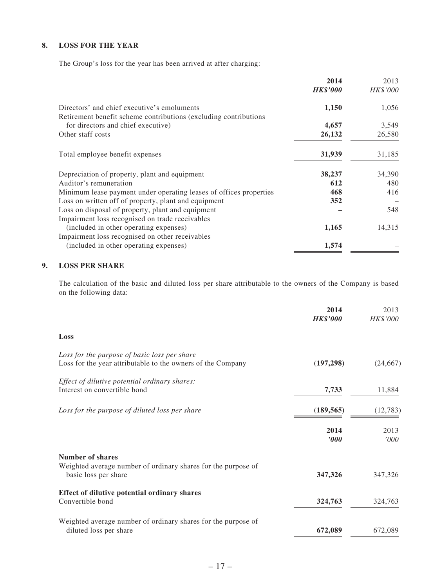## **8. LOSS FOR THE YEAR**

The Group's loss for the year has been arrived at after charging:

|                                                                                                                  | 2014            | 2013     |
|------------------------------------------------------------------------------------------------------------------|-----------------|----------|
|                                                                                                                  | <b>HK\$'000</b> | HK\$'000 |
| Directors' and chief executive's emoluments<br>Retirement benefit scheme contributions (excluding contributions) | 1,150           | 1,056    |
| for directors and chief executive)                                                                               | 4,657           | 3,549    |
| Other staff costs                                                                                                | 26,132          | 26,580   |
| Total employee benefit expenses                                                                                  | 31,939          | 31,185   |
| Depreciation of property, plant and equipment                                                                    | 38,237          | 34,390   |
| Auditor's remuneration                                                                                           | 612             | 480      |
| Minimum lease payment under operating leases of offices properties                                               | 468             | 416      |
| Loss on written off of property, plant and equipment                                                             | 352             |          |
| Loss on disposal of property, plant and equipment                                                                |                 | 548      |
| Impairment loss recognised on trade receivables                                                                  |                 |          |
| (included in other operating expenses)                                                                           | 1,165           | 14,315   |
| Impairment loss recognised on other receivables                                                                  |                 |          |
| (included in other operating expenses)                                                                           | 1,574           |          |

## **9. LOSS PER SHARE**

The calculation of the basic and diluted loss per share attributable to the owners of the Company is based on the following data:

|                                                                                                                  | 2014<br><b>HK\$'000</b> | 2013<br>HK\$'000 |
|------------------------------------------------------------------------------------------------------------------|-------------------------|------------------|
| Loss                                                                                                             |                         |                  |
| Loss for the purpose of basic loss per share<br>Loss for the year attributable to the owners of the Company      | (197, 298)              | (24, 667)        |
| Effect of dilutive potential ordinary shares:<br>Interest on convertible bond                                    | 7,733                   | 11,884           |
| Loss for the purpose of diluted loss per share                                                                   | (189, 565)              | (12, 783)        |
|                                                                                                                  | 2014<br>'000            | 2013<br>'000     |
| <b>Number of shares</b><br>Weighted average number of ordinary shares for the purpose of<br>basic loss per share | 347,326                 | 347,326          |
| Effect of dilutive potential ordinary shares<br>Convertible bond                                                 | 324,763                 | 324,763          |
| Weighted average number of ordinary shares for the purpose of<br>diluted loss per share                          | 672,089                 | 672,089          |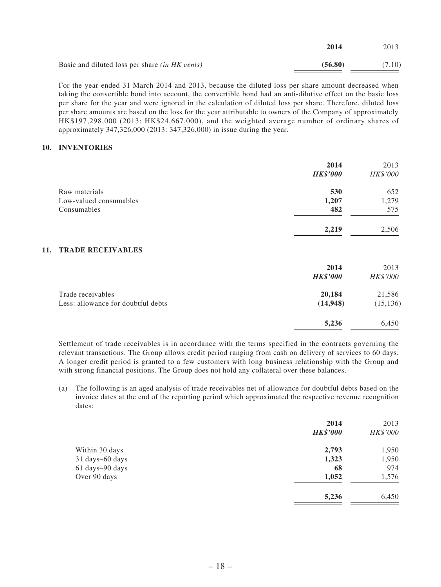|                                                       | 2014    | 2013   |
|-------------------------------------------------------|---------|--------|
| Basic and diluted loss per share <i>(in HK cents)</i> | (56.80) | (7.10) |

For the year ended 31 March 2014 and 2013, because the diluted loss per share amount decreased when taking the convertible bond into account, the convertible bond had an anti-dilutive effect on the basic loss per share for the year and were ignored in the calculation of diluted loss per share. Therefore, diluted loss per share amounts are based on the loss for the year attributable to owners of the Company of approximately HK\$197,298,000 (2013: HK\$24,667,000), and the weighted average number of ordinary shares of approximately 347,326,000 (2013: 347,326,000) in issue during the year.

### **10. INVENTORIES**

|                                    | 2014<br><b>HK\$'000</b> | 2013<br>HK\$'000 |
|------------------------------------|-------------------------|------------------|
| Raw materials                      | 530                     | 652              |
| Low-valued consumables             | 1,207                   | 1,279            |
| Consumables                        | 482                     | 575              |
|                                    | 2,219                   | 2,506            |
| <b>TRADE RECEIVABLES</b><br>11.    |                         |                  |
|                                    | 2014                    | 2013             |
|                                    | <b>HK\$'000</b>         | HK\$'000         |
| Trade receivables                  | 20,184                  | 21,586           |
| Less: allowance for doubtful debts | (14, 948)               | (15, 136)        |
|                                    | 5,236                   | 6,450            |

Settlement of trade receivables is in accordance with the terms specified in the contracts governing the relevant transactions. The Group allows credit period ranging from cash on delivery of services to 60 days. A longer credit period is granted to a few customers with long business relationship with the Group and with strong financial positions. The Group does not hold any collateral over these balances.

(a) The following is an aged analysis of trade receivables net of allowance for doubtful debts based on the invoice dates at the end of the reporting period which approximated the respective revenue recognition dates:

|                 | 2014<br><b>HK\$'000</b> | 2013<br>HK\$'000 |
|-----------------|-------------------------|------------------|
| Within 30 days  | 2,793                   | 1,950            |
| 31 days-60 days | 1,323                   | 1,950            |
| 61 days-90 days | 68                      | 974              |
| Over 90 days    | 1,052                   | 1,576            |
|                 | 5,236                   | 6,450            |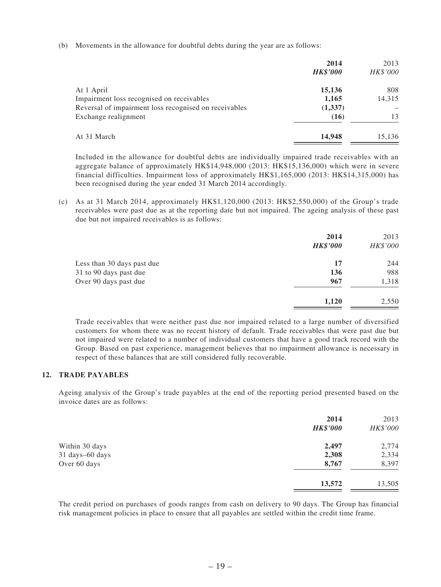(b) Movements in the allowance for doubtful debts during the year are as follows:

| 2014            | 2013     |
|-----------------|----------|
| <b>HK\$'000</b> | HK\$'000 |
| 15,136          | 808      |
| 1,165           | 14,315   |
| (1,337)         |          |
| (16)            | 13       |
| 14,948          | 15,136   |
|                 |          |

Included in the allowance for doubtful debts are individually impaired trade receivables with an aggregate balance of approximately HK\$14,948,000 (2013: HK\$15,136,000) which were in severe financial difficulties. Impairment loss of approximately HK\$1,165,000 (2013: HK\$14,315,000) has been recognised during the year ended 31 March 2014 accordingly.

(c) As at 31 March 2014, approximately HK\$1,120,000 (2013: HK\$2,550,000) of the Group's trade receivables were past due as at the reporting date but not impaired. The ageing analysis of these past due but not impaired receivables is as follows:

|                            | 2014<br><b>HK\$'000</b> | 2013<br>HK\$'000 |
|----------------------------|-------------------------|------------------|
| Less than 30 days past due | 17                      | 244              |
| 31 to 90 days past due     | 136                     | 988              |
| Over 90 days past due      | 967                     | 1,318            |
|                            | 1,120                   | 2,550            |

Trade receivables that were neither past due nor impaired related to a large number of diversified customers for whom there was no recent history of default. Trade receivables that were past due but not impaired were related to a number of individual customers that have a good track record with the Group. Based on past experience, management believes that no impairment allowance is necessary in respect of these balances that are still considered fully recoverable.

## **12. TRADE PAYABLES**

Ageing analysis of the Group's trade payables at the end of the reporting period presented based on the invoice dates are as follows:

|        | HK\$'000        |
|--------|-----------------|
| 2,497  | 2,774           |
| 2,308  | 2,334           |
| 8,767  | 8,397           |
| 13,572 | 13,505          |
|        | <b>HK\$'000</b> |

The credit period on purchases of goods ranges from cash on delivery to 90 days. The Group has financial risk management policies in place to ensure that all payables are settled within the credit time frame.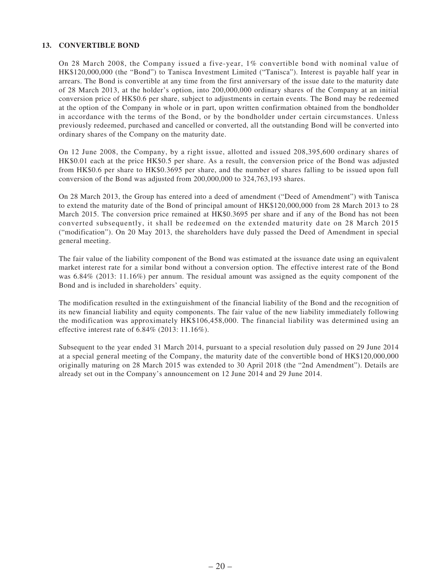### **13. CONVERTIBLE BOND**

On 28 March 2008, the Company issued a five-year, 1% convertible bond with nominal value of HK\$120,000,000 (the "Bond") to Tanisca Investment Limited ("Tanisca"). Interest is payable half year in arrears. The Bond is convertible at any time from the first anniversary of the issue date to the maturity date of 28 March 2013, at the holder's option, into 200,000,000 ordinary shares of the Company at an initial conversion price of HK\$0.6 per share, subject to adjustments in certain events. The Bond may be redeemed at the option of the Company in whole or in part, upon written confirmation obtained from the bondholder in accordance with the terms of the Bond, or by the bondholder under certain circumstances. Unless previously redeemed, purchased and cancelled or converted, all the outstanding Bond will be converted into ordinary shares of the Company on the maturity date.

On 12 June 2008, the Company, by a right issue, allotted and issued 208,395,600 ordinary shares of HK\$0.01 each at the price HK\$0.5 per share. As a result, the conversion price of the Bond was adjusted from HK\$0.6 per share to HK\$0.3695 per share, and the number of shares falling to be issued upon full conversion of the Bond was adjusted from 200,000,000 to 324,763,193 shares.

On 28 March 2013, the Group has entered into a deed of amendment ("Deed of Amendment") with Tanisca to extend the maturity date of the Bond of principal amount of HK\$120,000,000 from 28 March 2013 to 28 March 2015. The conversion price remained at HK\$0.3695 per share and if any of the Bond has not been converted subsequently, it shall be redeemed on the extended maturity date on 28 March 2015 ("modification"). On 20 May 2013, the shareholders have duly passed the Deed of Amendment in special general meeting.

The fair value of the liability component of the Bond was estimated at the issuance date using an equivalent market interest rate for a similar bond without a conversion option. The effective interest rate of the Bond was 6.84% (2013: 11.16%) per annum. The residual amount was assigned as the equity component of the Bond and is included in shareholders' equity.

The modification resulted in the extinguishment of the financial liability of the Bond and the recognition of its new financial liability and equity components. The fair value of the new liability immediately following the modification was approximately HK\$106,458,000. The financial liability was determined using an effective interest rate of 6.84% (2013: 11.16%).

Subsequent to the year ended 31 March 2014, pursuant to a special resolution duly passed on 29 June 2014 at a special general meeting of the Company, the maturity date of the convertible bond of HK\$120,000,000 originally maturing on 28 March 2015 was extended to 30 April 2018 (the "2nd Amendment"). Details are already set out in the Company's announcement on 12 June 2014 and 29 June 2014.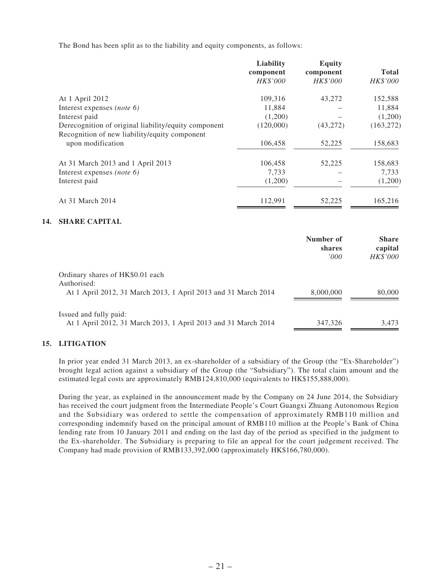The Bond has been split as to the liability and equity components, as follows:

|           | <b>Equity</b>   |              |
|-----------|-----------------|--------------|
| component | component       | <b>Total</b> |
| HK\$'000  | <b>HK\$'000</b> | HK\$'000     |
| 109,316   | 43,272          | 152,588      |
| 11,884    |                 | 11,884       |
| (1,200)   |                 | (1,200)      |
| (120,000) | (43,272)        | (163, 272)   |
|           |                 |              |
| 106,458   | 52,225          | 158,683      |
| 106,458   | 52,225          | 158,683      |
| 7,733     |                 | 7,733        |
| (1,200)   |                 | (1,200)      |
| 112,991   | 52,225          | 165,216      |
|           | Liability       |              |

### **14. SHARE CAPITAL**

|                                                                                                                   | Number of<br>shares<br>'000' | <b>Share</b><br>capital<br><b>HK\$'000</b> |
|-------------------------------------------------------------------------------------------------------------------|------------------------------|--------------------------------------------|
| Ordinary shares of HK\$0.01 each<br>Authorised:<br>At 1 April 2012, 31 March 2013, 1 April 2013 and 31 March 2014 | 8,000,000                    | 80,000                                     |
| Issued and fully paid:<br>At 1 April 2012, 31 March 2013, 1 April 2013 and 31 March 2014                          | 347,326                      | 3.473                                      |

## **15. LITIGATION**

In prior year ended 31 March 2013, an ex-shareholder of a subsidiary of the Group (the "Ex-Shareholder") brought legal action against a subsidiary of the Group (the "Subsidiary"). The total claim amount and the estimated legal costs are approximately RMB124,810,000 (equivalents to HK\$155,888,000).

During the year, as explained in the announcement made by the Company on 24 June 2014, the Subsidiary has received the court judgment from the Intermediate People's Court Guangxi Zhuang Autonomous Region and the Subsidiary was ordered to settle the compensation of approximately RMB110 million and corresponding indemnify based on the principal amount of RMB110 million at the People's Bank of China lending rate from 10 January 2011 and ending on the last day of the period as specified in the judgment to the Ex-shareholder. The Subsidiary is preparing to file an appeal for the court judgement received. The Company had made provision of RMB133,392,000 (approximately HK\$166,780,000).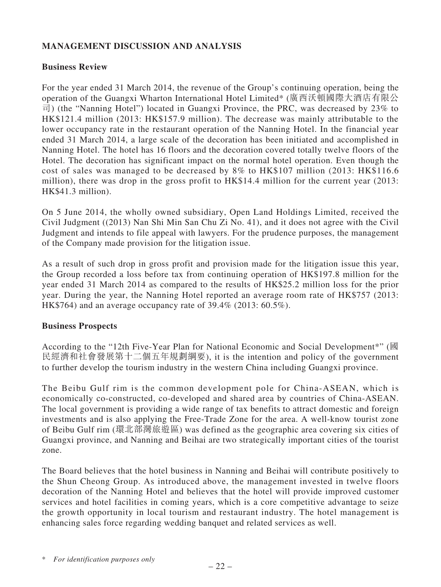## **MANAGEMENT DISCUSSION AND ANALYSIS**

## **Business Review**

For the year ended 31 March 2014, the revenue of the Group's continuing operation, being the operation of the Guangxi Wharton International Hotel Limited\* (廣西沃頓國際大酒店有限公 司) (the "Nanning Hotel") located in Guangxi Province, the PRC, was decreased by 23% to HK\$121.4 million (2013: HK\$157.9 million). The decrease was mainly attributable to the lower occupancy rate in the restaurant operation of the Nanning Hotel. In the financial year ended 31 March 2014, a large scale of the decoration has been initiated and accomplished in Nanning Hotel. The hotel has 16 floors and the decoration covered totally twelve floors of the Hotel. The decoration has significant impact on the normal hotel operation. Even though the cost of sales was managed to be decreased by 8% to HK\$107 million (2013: HK\$116.6 million), there was drop in the gross profit to HK\$14.4 million for the current year (2013: HK\$41.3 million).

On 5 June 2014, the wholly owned subsidiary, Open Land Holdings Limited, received the Civil Judgment ((2013) Nan Shi Min San Chu Zi No. 41), and it does not agree with the Civil Judgment and intends to file appeal with lawyers. For the prudence purposes, the management of the Company made provision for the litigation issue.

As a result of such drop in gross profit and provision made for the litigation issue this year, the Group recorded a loss before tax from continuing operation of HK\$197.8 million for the year ended 31 March 2014 as compared to the results of HK\$25.2 million loss for the prior year. During the year, the Nanning Hotel reported an average room rate of HK\$757 (2013: HK\$764) and an average occupancy rate of 39.4% (2013: 60.5%).

## **Business Prospects**

According to the "12th Five-Year Plan for National Economic and Social Development\*" (國 民經濟和社會發展第十二個五年規劃綱要), it is the intention and policy of the government to further develop the tourism industry in the western China including Guangxi province.

The Beibu Gulf rim is the common development pole for China-ASEAN, which is economically co-constructed, co-developed and shared area by countries of China-ASEAN. The local government is providing a wide range of tax benefits to attract domestic and foreign investments and is also applying the Free-Trade Zone for the area. A well-know tourist zone of Beibu Gulf rim (環北部灣旅遊區) was defined as the geographic area covering six cities of Guangxi province, and Nanning and Beihai are two strategically important cities of the tourist zone.

The Board believes that the hotel business in Nanning and Beihai will contribute positively to the Shun Cheong Group. As introduced above, the management invested in twelve floors decoration of the Nanning Hotel and believes that the hotel will provide improved customer services and hotel facilities in coming years, which is a core competitive advantage to seize the growth opportunity in local tourism and restaurant industry. The hotel management is enhancing sales force regarding wedding banquet and related services as well.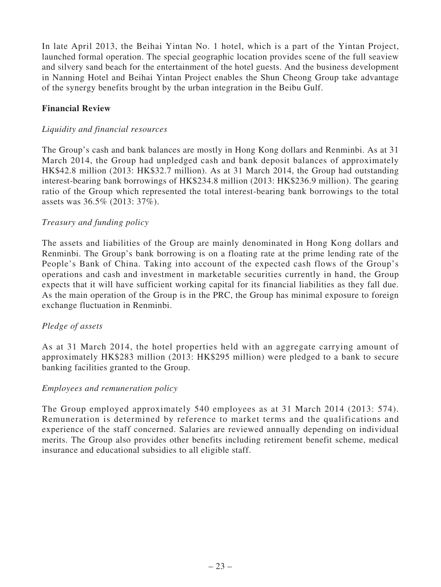In late April 2013, the Beihai Yintan No. 1 hotel, which is a part of the Yintan Project, launched formal operation. The special geographic location provides scene of the full seaview and silvery sand beach for the entertainment of the hotel guests. And the business development in Nanning Hotel and Beihai Yintan Project enables the Shun Cheong Group take advantage of the synergy benefits brought by the urban integration in the Beibu Gulf.

## **Financial Review**

## *Liquidity and financial resources*

The Group's cash and bank balances are mostly in Hong Kong dollars and Renminbi. As at 31 March 2014, the Group had unpledged cash and bank deposit balances of approximately HK\$42.8 million (2013: HK\$32.7 million). As at 31 March 2014, the Group had outstanding interest-bearing bank borrowings of HK\$234.8 million (2013: HK\$236.9 million). The gearing ratio of the Group which represented the total interest-bearing bank borrowings to the total assets was 36.5% (2013: 37%).

## *Treasury and funding policy*

The assets and liabilities of the Group are mainly denominated in Hong Kong dollars and Renminbi. The Group's bank borrowing is on a floating rate at the prime lending rate of the People's Bank of China. Taking into account of the expected cash flows of the Group's operations and cash and investment in marketable securities currently in hand, the Group expects that it will have sufficient working capital for its financial liabilities as they fall due. As the main operation of the Group is in the PRC, the Group has minimal exposure to foreign exchange fluctuation in Renminbi.

## *Pledge of assets*

As at 31 March 2014, the hotel properties held with an aggregate carrying amount of approximately HK\$283 million (2013: HK\$295 million) were pledged to a bank to secure banking facilities granted to the Group.

## *Employees and remuneration policy*

The Group employed approximately 540 employees as at 31 March 2014 (2013: 574). Remuneration is determined by reference to market terms and the qualifications and experience of the staff concerned. Salaries are reviewed annually depending on individual merits. The Group also provides other benefits including retirement benefit scheme, medical insurance and educational subsidies to all eligible staff.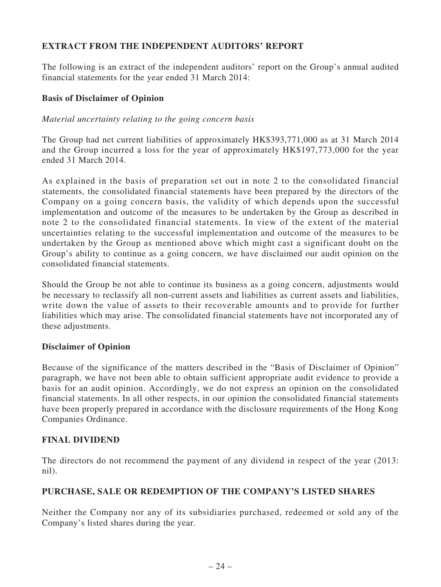## **EXTRACT FROM THE INDEPENDENT AUDITORS' REPORT**

The following is an extract of the independent auditors' report on the Group's annual audited financial statements for the year ended 31 March 2014:

## **Basis of Disclaimer of Opinion**

## *Material uncertainty relating to the going concern basis*

The Group had net current liabilities of approximately HK\$393,771,000 as at 31 March 2014 and the Group incurred a loss for the year of approximately HK\$197,773,000 for the year ended 31 March 2014.

As explained in the basis of preparation set out in note 2 to the consolidated financial statements, the consolidated financial statements have been prepared by the directors of the Company on a going concern basis, the validity of which depends upon the successful implementation and outcome of the measures to be undertaken by the Group as described in note 2 to the consolidated financial statements. In view of the extent of the material uncertainties relating to the successful implementation and outcome of the measures to be undertaken by the Group as mentioned above which might cast a significant doubt on the Group's ability to continue as a going concern, we have disclaimed our audit opinion on the consolidated financial statements.

Should the Group be not able to continue its business as a going concern, adjustments would be necessary to reclassify all non-current assets and liabilities as current assets and liabilities, write down the value of assets to their recoverable amounts and to provide for further liabilities which may arise. The consolidated financial statements have not incorporated any of these adjustments.

## **Disclaimer of Opinion**

Because of the significance of the matters described in the "Basis of Disclaimer of Opinion" paragraph, we have not been able to obtain sufficient appropriate audit evidence to provide a basis for an audit opinion. Accordingly, we do not express an opinion on the consolidated financial statements. In all other respects, in our opinion the consolidated financial statements have been properly prepared in accordance with the disclosure requirements of the Hong Kong Companies Ordinance.

## **FINAL DIVIDEND**

The directors do not recommend the payment of any dividend in respect of the year (2013: nil).

## **PURCHASE, SALE OR REDEMPTION OF THE COMPANY'S LISTED SHARES**

Neither the Company nor any of its subsidiaries purchased, redeemed or sold any of the Company's listed shares during the year.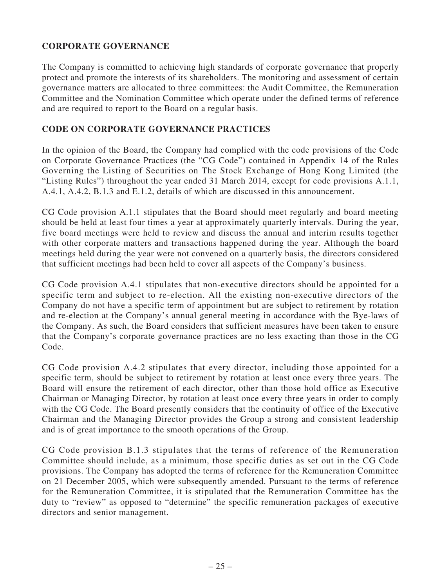## **CORPORATE GOVERNANCE**

The Company is committed to achieving high standards of corporate governance that properly protect and promote the interests of its shareholders. The monitoring and assessment of certain governance matters are allocated to three committees: the Audit Committee, the Remuneration Committee and the Nomination Committee which operate under the defined terms of reference and are required to report to the Board on a regular basis.

## **CODE ON CORPORATE GOVERNANCE PRACTICES**

In the opinion of the Board, the Company had complied with the code provisions of the Code on Corporate Governance Practices (the "CG Code") contained in Appendix 14 of the Rules Governing the Listing of Securities on The Stock Exchange of Hong Kong Limited (the "Listing Rules") throughout the year ended 31 March 2014, except for code provisions A.1.1, A.4.1, A.4.2, B.1.3 and E.1.2, details of which are discussed in this announcement.

CG Code provision A.1.1 stipulates that the Board should meet regularly and board meeting should be held at least four times a year at approximately quarterly intervals. During the year, five board meetings were held to review and discuss the annual and interim results together with other corporate matters and transactions happened during the year. Although the board meetings held during the year were not convened on a quarterly basis, the directors considered that sufficient meetings had been held to cover all aspects of the Company's business.

CG Code provision A.4.1 stipulates that non-executive directors should be appointed for a specific term and subject to re-election. All the existing non-executive directors of the Company do not have a specific term of appointment but are subject to retirement by rotation and re-election at the Company's annual general meeting in accordance with the Bye-laws of the Company. As such, the Board considers that sufficient measures have been taken to ensure that the Company's corporate governance practices are no less exacting than those in the CG Code.

CG Code provision A.4.2 stipulates that every director, including those appointed for a specific term, should be subject to retirement by rotation at least once every three years. The Board will ensure the retirement of each director, other than those hold office as Executive Chairman or Managing Director, by rotation at least once every three years in order to comply with the CG Code. The Board presently considers that the continuity of office of the Executive Chairman and the Managing Director provides the Group a strong and consistent leadership and is of great importance to the smooth operations of the Group.

CG Code provision B.1.3 stipulates that the terms of reference of the Remuneration Committee should include, as a minimum, those specific duties as set out in the CG Code provisions. The Company has adopted the terms of reference for the Remuneration Committee on 21 December 2005, which were subsequently amended. Pursuant to the terms of reference for the Remuneration Committee, it is stipulated that the Remuneration Committee has the duty to "review" as opposed to "determine" the specific remuneration packages of executive directors and senior management.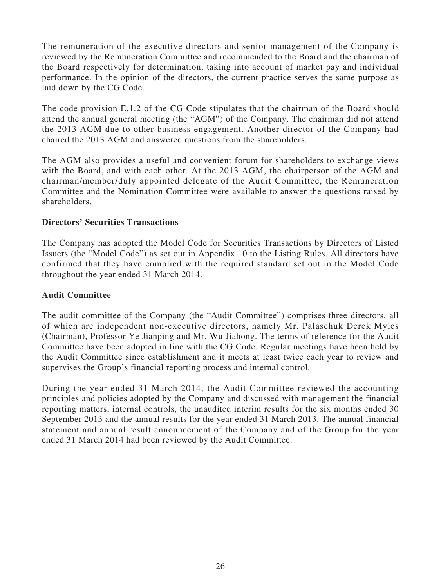The remuneration of the executive directors and senior management of the Company is reviewed by the Remuneration Committee and recommended to the Board and the chairman of the Board respectively for determination, taking into account of market pay and individual performance. In the opinion of the directors, the current practice serves the same purpose as laid down by the CG Code.

The code provision E.1.2 of the CG Code stipulates that the chairman of the Board should attend the annual general meeting (the "AGM") of the Company. The chairman did not attend the 2013 AGM due to other business engagement. Another director of the Company had chaired the 2013 AGM and answered questions from the shareholders.

The AGM also provides a useful and convenient forum for shareholders to exchange views with the Board, and with each other. At the 2013 AGM, the chairperson of the AGM and chairman/member/duly appointed delegate of the Audit Committee, the Remuneration Committee and the Nomination Committee were available to answer the questions raised by shareholders.

## **Directors' Securities Transactions**

The Company has adopted the Model Code for Securities Transactions by Directors of Listed Issuers (the "Model Code") as set out in Appendix 10 to the Listing Rules. All directors have confirmed that they have complied with the required standard set out in the Model Code throughout the year ended 31 March 2014.

## **Audit Committee**

The audit committee of the Company (the "Audit Committee") comprises three directors, all of which are independent non-executive directors, namely Mr. Palaschuk Derek Myles (Chairman), Professor Ye Jianping and Mr. Wu Jiahong. The terms of reference for the Audit Committee have been adopted in line with the CG Code. Regular meetings have been held by the Audit Committee since establishment and it meets at least twice each year to review and supervises the Group's financial reporting process and internal control.

During the year ended 31 March 2014, the Audit Committee reviewed the accounting principles and policies adopted by the Company and discussed with management the financial reporting matters, internal controls, the unaudited interim results for the six months ended 30 September 2013 and the annual results for the year ended 31 March 2013. The annual financial statement and annual result announcement of the Company and of the Group for the year ended 31 March 2014 had been reviewed by the Audit Committee.